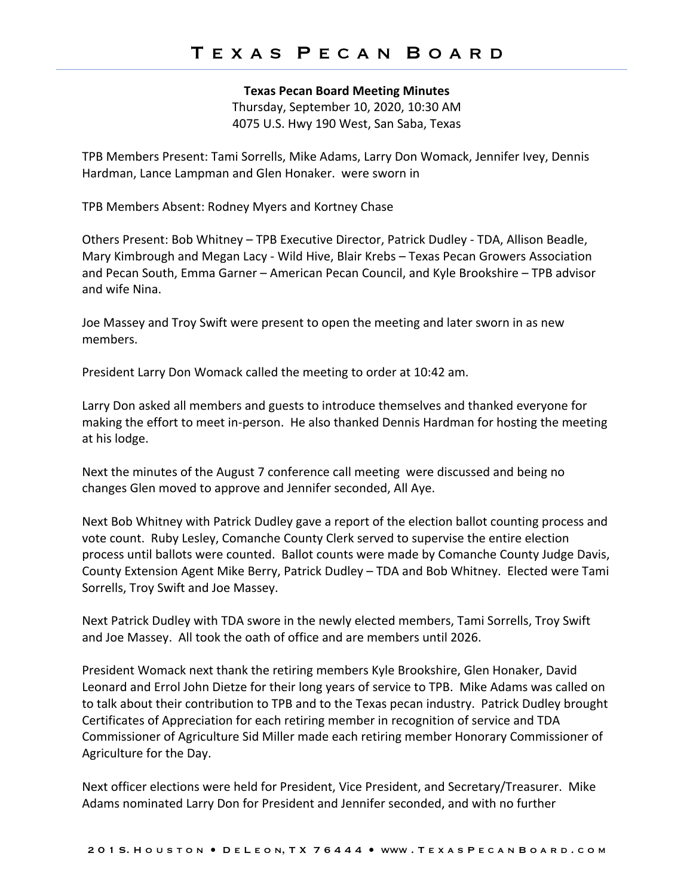## **Texas Pecan Board Meeting Minutes**

Thursday, September 10, 2020, 10:30 AM 4075 U.S. Hwy 190 West, San Saba, Texas

TPB Members Present: Tami Sorrells, Mike Adams, Larry Don Womack, Jennifer Ivey, Dennis Hardman, Lance Lampman and Glen Honaker. were sworn in

TPB Members Absent: Rodney Myers and Kortney Chase

Others Present: Bob Whitney – TPB Executive Director, Patrick Dudley - TDA, Allison Beadle, Mary Kimbrough and Megan Lacy - Wild Hive, Blair Krebs – Texas Pecan Growers Association and Pecan South, Emma Garner – American Pecan Council, and Kyle Brookshire – TPB advisor and wife Nina.

Joe Massey and Troy Swift were present to open the meeting and later sworn in as new members.

President Larry Don Womack called the meeting to order at 10:42 am.

Larry Don asked all members and guests to introduce themselves and thanked everyone for making the effort to meet in-person. He also thanked Dennis Hardman for hosting the meeting at his lodge.

Next the minutes of the August 7 conference call meeting were discussed and being no changes Glen moved to approve and Jennifer seconded, All Aye.

Next Bob Whitney with Patrick Dudley gave a report of the election ballot counting process and vote count. Ruby Lesley, Comanche County Clerk served to supervise the entire election process until ballots were counted. Ballot counts were made by Comanche County Judge Davis, County Extension Agent Mike Berry, Patrick Dudley – TDA and Bob Whitney. Elected were Tami Sorrells, Troy Swift and Joe Massey.

Next Patrick Dudley with TDA swore in the newly elected members, Tami Sorrells, Troy Swift and Joe Massey. All took the oath of office and are members until 2026.

President Womack next thank the retiring members Kyle Brookshire, Glen Honaker, David Leonard and Errol John Dietze for their long years of service to TPB. Mike Adams was called on to talk about their contribution to TPB and to the Texas pecan industry. Patrick Dudley brought Certificates of Appreciation for each retiring member in recognition of service and TDA Commissioner of Agriculture Sid Miller made each retiring member Honorary Commissioner of Agriculture for the Day.

Next officer elections were held for President, Vice President, and Secretary/Treasurer. Mike Adams nominated Larry Don for President and Jennifer seconded, and with no further